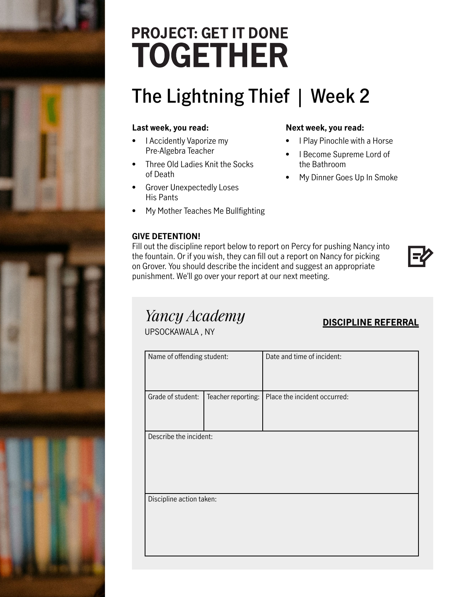# **PROJECT: GET IT DONE TOGETHER**

# **The Lightning Thief | Week 2**

### **Last week, you read:**

- I Accidently Vaporize my Pre-Algebra Teacher
- Three Old Ladies Knit the Socks of Death
- Grover Unexpectedly Loses His Pants
- My Mother Teaches Me Bullfighting

#### **GIVE DETENTION!**

#### **Next week, you read:**

- I Play Pinochle with a Horse
- I Become Supreme Lord of the Bathroom
- My Dinner Goes Up In Smoke

Fill out the discipline report below to report on Percy for pushing Nancy into the fountain. Or if you wish, they can fill out a report on Nancy for picking on Grover. You should describe the incident and suggest an appropriate punishment. We'll go over your report at our next meeting.

### *Yancy Academy*

| Tuncy Academy<br>UPSOCKAWALA, NY |                    | <b>DISCIPLINE REFERRAL</b>   |  |
|----------------------------------|--------------------|------------------------------|--|
| Name of offending student:       |                    | Date and time of incident:   |  |
| Grade of student:                | Teacher reporting: | Place the incident occurred: |  |
| Describe the incident:           |                    |                              |  |
| Discipline action taken:         |                    |                              |  |